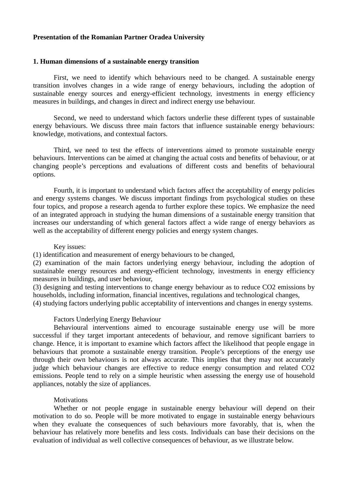# **Presentation of the Romanian Partner Oradea University**

## **1. Human dimensions of a sustainable energy transition**

First, we need to identify which behaviours need to be changed. A sustainable energy transition involves changes in a wide range of energy behaviours, including the adoption of sustainable energy sources and energy-efficient technology, investments in energy efficiency measures in buildings, and changes in direct and indirect energy use behaviour.

Second, we need to understand which factors underlie these different types of sustainable energy behaviours. We discuss three main factors that influence sustainable energy behaviours: knowledge, motivations, and contextual factors.

Third, we need to test the effects of interventions aimed to promote sustainable energy behaviours. Interventions can be aimed at changing the actual costs and benefits of behaviour, or at changing people's perceptions and evaluations of different costs and benefits of behavioural options.

Fourth, it is important to understand which factors affect the acceptability of energy policies and energy systems changes. We discuss important findings from psychological studies on these four topics, and propose a research agenda to further explore these topics. We emphasize the need of an integrated approach in studying the human dimensions of a sustainable energy transition that increases our understanding of which general factors affect a wide range of energy behaviors as well as the acceptability of different energy policies and energy system changes.

#### Key issues:

(1) identification and measurement of energy behaviours to be changed,

(2) examination of the main factors underlying energy behaviour, including the adoption of sustainable energy resources and energy-efficient technology, investments in energy efficiency measures in buildings, and user behaviour,

(3) designing and testing interventions to change energy behaviour as to reduce CO2 emissions by households, including information, financial incentives, regulations and technological changes,

(4) studying factors underlying public acceptability of interventions and changes in energy systems.

### Factors Underlying Energy Behaviour

Behavioural interventions aimed to encourage sustainable energy use will be more successful if they target important antecedents of behaviour, and remove significant barriers to change. Hence, it is important to examine which factors affect the likelihood that people engage in behaviours that promote a sustainable energy transition. People's perceptions of the energy use through their own behaviours is not always accurate. This implies that they may not accurately judge which behaviour changes are effective to reduce energy consumption and related CO2 emissions. People tend to rely on a simple heuristic when assessing the energy use of household appliances, notably the size of appliances.

## **Motivations**

Whether or not people engage in sustainable energy behaviour will depend on their motivation to do so. People will be more motivated to engage in sustainable energy behaviours when they evaluate the consequences of such behaviours more favorably, that is, when the behaviour has relatively more benefits and less costs. Individuals can base their decisions on the evaluation of individual as well collective consequences of behaviour, as we illustrate below.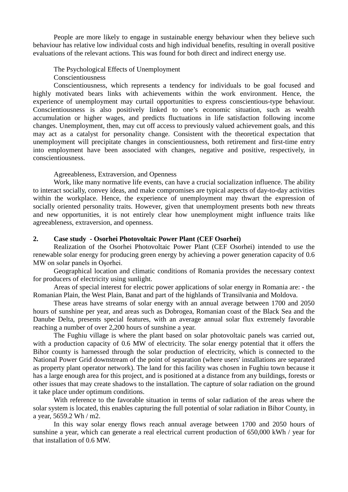People are more likely to engage in sustainable energy behaviour when they believe such behaviour has relative low individual costs and high individual benefits, resulting in overall positive evaluations of the relevant actions. This was found for both direct and indirect energy use.

The Psychological Effects of Unemployment

Conscientiousness

Conscientiousness, which represents a tendency for individuals to be goal focused and highly motivated bears links with achievements within the work environment. Hence, the experience of unemployment may curtail opportunities to express conscientious-type behaviour. Conscientiousness is also positively linked to one's economic situation, such as wealth accumulation or higher wages, and predicts fluctuations in life satisfaction following income changes. Unemployment, then, may cut off access to previously valued achievement goals, and this may act as a catalyst for personality change. Consistent with the theoretical expectation that unemployment will precipitate changes in conscientiousness, both retirement and first-time entry into employment have been associated with changes, negative and positive, respectively, in conscientiousness.

Agreeableness, Extraversion, and Openness

Work, like many normative life events, can have a crucial socialization influence. The ability to interact socially, convey ideas, and make compromises are typical aspects of day-to-day activities within the workplace. Hence, the experience of unemployment may thwart the expression of socially oriented personality traits. However, given that unemployment presents both new threats and new opportunities, it is not entirely clear how unemployment might influence traits like agreeableness, extraversion, and openness.

# **2. Case study - Osorhei Photovoltaic Power Plant (CEF Osorhei)**

Realization of the Osorhei Photovoltaic Power Plant (CEF Osorhei) intended to use the renewable solar energy for producing green energy by achieving a power generation capacity of 0.6 MW on solar panels in Oşorhei.

Geographical location and climatic conditions of Romania provides the necessary context for producers of electricity using sunlight.

Areas of special interest for electric power applications of solar energy in Romania are: - the Romanian Plain, the West Plain, Banat and part of the highlands of Transilvania and Moldova.

These areas have streams of solar energy with an annual average between 1700 and 2050 hours of sunshine per year, and areas such as Dobrogea, Romanian coast of the Black Sea and the Danube Delta, presents special features, with an average annual solar flux extremely favorable reaching a number of over 2,200 hours of sunshine a year.

The Fughiu village is where the plant based on solar photovoltaic panels was carried out, with a production capacity of 0.6 MW of electricity. The solar energy potential that it offers the Bihor county is harnessed through the solar production of electricity, which is connected to the National Power Grid downstream of the point of separation (where users' installations are separated as property plant operator network). The land for this facility was chosen in Fughiu town because it has a large enough area for this project, and is positioned at a distance from any buildings, forests or other issues that may create shadows to the installation. The capture of solar radiation on the ground it take place under optimum conditions.

With reference to the favorable situation in terms of solar radiation of the areas where the solar system is located, this enables capturing the full potential of solar radiation in Bihor County, in a year, 5659.2 Wh / m2.

In this way solar energy flows reach annual average between 1700 and 2050 hours of sunshine a year, which can generate a real electrical current production of 650,000 kWh / year for that installation of 0.6 MW.